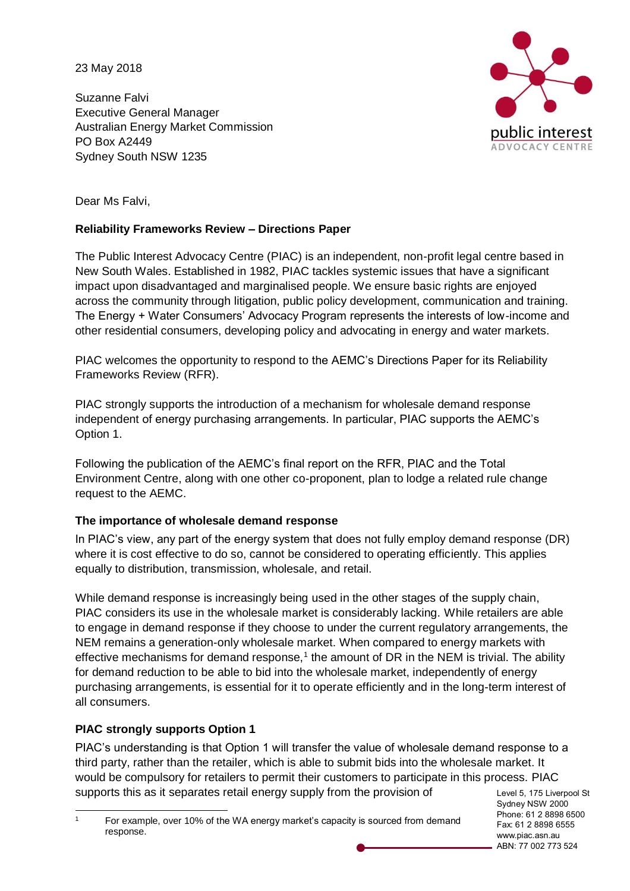23 May 2018

Suzanne Falvi Executive General Manager Australian Energy Market Commission PO Box A2449 Sydney South NSW 1235



Dear Ms Falvi,

# **Reliability Frameworks Review – Directions Paper**

The Public Interest Advocacy Centre (PIAC) is an independent, non-profit legal centre based in New South Wales. Established in 1982, PIAC tackles systemic issues that have a significant impact upon disadvantaged and marginalised people. We ensure basic rights are enjoyed across the community through litigation, public policy development, communication and training. The Energy + Water Consumers' Advocacy Program represents the interests of low-income and other residential consumers, developing policy and advocating in energy and water markets.

PIAC welcomes the opportunity to respond to the AEMC's Directions Paper for its Reliability Frameworks Review (RFR).

PIAC strongly supports the introduction of a mechanism for wholesale demand response independent of energy purchasing arrangements. In particular, PIAC supports the AEMC's Option 1.

Following the publication of the AEMC's final report on the RFR, PIAC and the Total Environment Centre, along with one other co-proponent, plan to lodge a related rule change request to the AEMC.

# **The importance of wholesale demand response**

In PIAC's view, any part of the energy system that does not fully employ demand response (DR) where it is cost effective to do so, cannot be considered to operating efficiently. This applies equally to distribution, transmission, wholesale, and retail.

While demand response is increasingly being used in the other stages of the supply chain, PIAC considers its use in the wholesale market is considerably lacking. While retailers are able to engage in demand response if they choose to under the current regulatory arrangements, the NEM remains a generation-only wholesale market. When compared to energy markets with effective mechanisms for demand response,<sup>1</sup> the amount of DR in the NEM is trivial. The ability for demand reduction to be able to bid into the wholesale market, independently of energy purchasing arrangements, is essential for it to operate efficiently and in the long-term interest of all consumers.

# **PIAC strongly supports Option 1**

PIAC's understanding is that Option 1 will transfer the value of wholesale demand response to a third party, rather than the retailer, which is able to submit bids into the wholesale market. It would be compulsory for retailers to permit their customers to participate in this process. PIAC supports this as it separates retail energy supply from the provision of

Level 5, 175 Liverpool St Sydney NSW 2000 Phone: 61 2 8898 6500 Fax: 61 2 8898 6555 www.piac.asn.au ABN: 77 002 773 524

 For example, over 10% of the WA energy market's capacity is sourced from demand response.